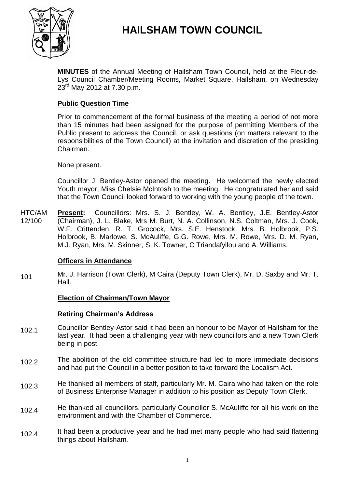

# **HAILSHAM TOWN COUNCIL**

**MINUTES** of the Annual Meeting of Hailsham Town Council, held at the Fleur-de-Lys Council Chamber/Meeting Rooms, Market Square, Hailsham, on Wednesday  $23^{\text{rd}}$  May 2012 at 7.30 p.m.

# **Public Question Time**

Prior to commencement of the formal business of the meeting a period of not more than 15 minutes had been assigned for the purpose of permitting Members of the Public present to address the Council, or ask questions (on matters relevant to the responsibilities of the Town Council) at the invitation and discretion of the presiding Chairman.

None present.

Councillor J. Bentley-Astor opened the meeting. He welcomed the newly elected Youth mayor, Miss Chelsie McIntosh to the meeting. He congratulated her and said that the Town Council looked forward to working with the young people of the town.

HTC/AM 12/100 **Present:** Councillors: Mrs. S. J. Bentley, W. A. Bentley, J.E. Bentley-Astor (Chairman), J. L. Blake, Mrs M. Burt, N. A. Collinson, N.S. Coltman, Mrs. J. Cook, W.F. Crittenden, R. T. Grocock, Mrs. S.E. Henstock, Mrs. B. Holbrook, P.S. Holbrook, B. Marlowe, S. McAuliffe, G.G. Rowe, Mrs. M. Rowe, Mrs. D. M. Ryan, M.J. Ryan, Mrs. M. Skinner, S. K. Towner, C Triandafyllou and A. Williams.

# **Officers in Attendance**

101 Mr. J. Harrison (Town Clerk), M Caira (Deputy Town Clerk), Mr. D. Saxby and Mr. T. Hall.

# **Election of Chairman/Town Mayor**

#### **Retiring Chairman's Address**

- 102.1 Councillor Bentley-Astor said it had been an honour to be Mayor of Hailsham for the last year. It had been a challenging year with new councillors and a new Town Clerk being in post.
- 102.2 The abolition of the old committee structure had led to more immediate decisions and had put the Council in a better position to take forward the Localism Act.
- 102.3 He thanked all members of staff, particularly Mr. M. Caira who had taken on the role of Business Enterprise Manager in addition to his position as Deputy Town Clerk.
- 102.4 He thanked all councillors, particularly Councillor S. McAuliffe for all his work on the environment and with the Chamber of Commerce.
- 102.4 It had been a productive year and he had met many people who had said flattering things about Hailsham.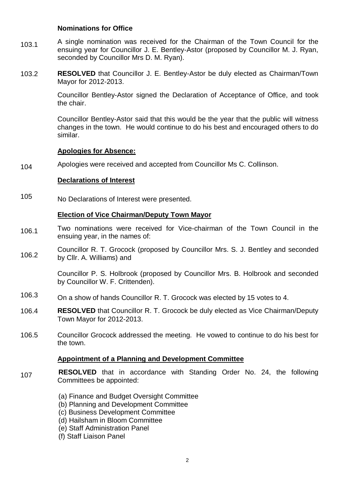#### **Nominations for Office**

- 103.1 A single nomination was received for the Chairman of the Town Council for the ensuing year for Councillor J. E. Bentley-Astor (proposed by Councillor M. J. Ryan, seconded by Councillor Mrs D. M. Ryan).
- 103.2 **RESOLVED** that Councillor J. E. Bentley-Astor be duly elected as Chairman/Town Mayor for 2012-2013.

Councillor Bentley-Astor signed the Declaration of Acceptance of Office, and took the chair.

Councillor Bentley-Astor said that this would be the year that the public will witness changes in the town. He would continue to do his best and encouraged others to do similar.

#### **Apologies for Absence:**

104 Apologies were received and accepted from Councillor Ms C. Collinson.

#### **Declarations of Interest**

105 No Declarations of Interest were presented.

#### **Election of Vice Chairman/Deputy Town Mayor**

- 106.1 Two nominations were received for Vice-chairman of the Town Council in the ensuing year, in the names of:
- 106.2 Councillor R. T. Grocock (proposed by Councillor Mrs. S. J. Bentley and seconded by Cllr. A. Williams) and

Councillor P. S. Holbrook (proposed by Councillor Mrs. B. Holbrook and seconded by Councillor W. F. Crittenden).

- 106.3 On a show of hands Councillor R. T. Grocock was elected by 15 votes to 4.
- 106.4 **RESOLVED** that Councillor R. T. Grocock be duly elected as Vice Chairman/Deputy Town Mayor for 2012-2013.
- 106.5 Councillor Grocock addressed the meeting. He vowed to continue to do his best for the town.

#### **Appointment of a Planning and Development Committee**

- 107 **RESOLVED** that in accordance with Standing Order No. 24, the following Committees be appointed:
	- (a) Finance and Budget Oversight Committee
	- (b) Planning and Development Committee
	- (c) Business Development Committee
	- (d) Hailsham in Bloom Committee
	- (e) Staff Administration Panel
	- (f) Staff Liaison Panel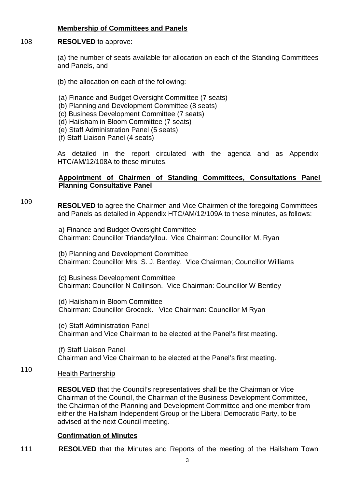## **Membership of Committees and Panels**

#### 108 **RESOLVED** to approve:

(a) the number of seats available for allocation on each of the Standing Committees and Panels, and

- (b) the allocation on each of the following:
- (a) Finance and Budget Oversight Committee (7 seats)
- (b) Planning and Development Committee (8 seats)
- (c) Business Development Committee (7 seats)
- (d) Hailsham in Bloom Committee (7 seats)
- (e) Staff Administration Panel (5 seats)
- (f) Staff Liaison Panel (4 seats)

As detailed in the report circulated with the agenda and as Appendix HTC/AM/12/108A to these minutes.

## Appointment of Chairmen of Standing Committees, Consultations Panel **Planning Consultative Panel**

109

**RESOLVED** to agree the Chairmen and Vice Chairmen of the foregoing Committees and Panels as detailed in Appendix HTC/AM/12/109A to these minutes, as follows:

a) Finance and Budget Oversight Committee Chairman: Councillor Triandafyllou. Vice Chairman: Councillor M. Ryan

(b) Planning and Development Committee Chairman: Councillor Mrs. S. J. Bentley. Vice Chairman; Councillor Williams

(c) Business Development Committee Chairman: Councillor N Collinson. Vice Chairman: Councillor W Bentley

(d) Hailsham in Bloom Committee Chairman: Councillor Grocock. Vice Chairman: Councillor M Ryan

(e) Staff Administration Panel Chairman and Vice Chairman to be elected at the Panel's first meeting.

(f) Staff Liaison Panel Chairman and Vice Chairman to be elected at the Panel's first meeting.

#### 110 Health Partnership

**RESOLVED** that the Council's representatives shall be the Chairman or Vice Chairman of the Council, the Chairman of the Business Development Committee, the Chairman of the Planning and Development Committee and one member from either the Hailsham Independent Group or the Liberal Democratic Party, to be advised at the next Council meeting.

#### **Confirmation of Minutes**

111 **RESOLVED** that the Minutes and Reports of the meeting of the Hailsham Town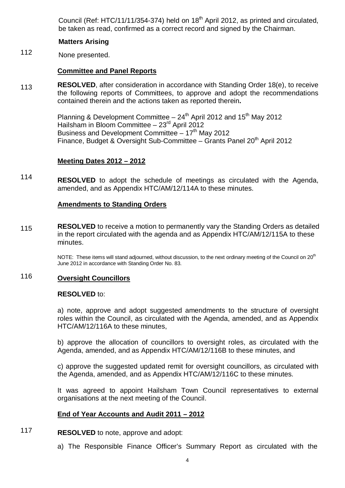Council (Ref: HTC/11/11/354-374) held on  $18<sup>th</sup>$  April 2012, as printed and circulated, be taken as read, confirmed as a correct record and signed by the Chairman.

#### **Matters Arising**

112 None presented.

#### **Committee and Panel Reports**

113 **RESOLVED**, after consideration in accordance with Standing Order 18(e), to receive the following reports of Committees, to approve and adopt the recommendations contained therein and the actions taken as reported therein**.**

> Planning & Development Committee  $-24<sup>th</sup>$  April 2012 and 15<sup>th</sup> May 2012 Hailsham in Bloom Committee – 23rd April 2012 Business and Development Committee  $-17<sup>th</sup>$  May 2012 Finance, Budget & Oversight Sub-Committee – Grants Panel  $20<sup>th</sup>$  April 2012

#### **Meeting Dates 2012 – 2012**

114 **RESOLVED** to adopt the schedule of meetings as circulated with the Agenda, amended, and as Appendix HTC/AM/12/114A to these minutes.

#### **Amendments to Standing Orders**

115 **RESOLVED** to receive a motion to permanently vary the Standing Orders as detailed in the report circulated with the agenda and as Appendix HTC/AM/12/115A to these minutes.

> NOTE: These items will stand adjourned, without discussion, to the next ordinary meeting of the Council on 20<sup>th</sup> June 2012 in accordance with Standing Order No. 83.

#### 116 **Oversight Councillors**

#### **RESOLVED** to:

a) note, approve and adopt suggested amendments to the structure of oversight roles within the Council, as circulated with the Agenda, amended, and as Appendix HTC/AM/12/116A to these minutes,

b) approve the allocation of councillors to oversight roles, as circulated with the Agenda, amended, and as Appendix HTC/AM/12/116B to these minutes, and

c) approve the suggested updated remit for oversight councillors, as circulated with the Agenda, amended, and as Appendix HTC/AM/12/116C to these minutes.

It was agreed to appoint Hailsham Town Council representatives to external organisations at the next meeting of the Council.

#### **End of Year Accounts and Audit 2011 – 2012**

#### 117 **RESOLVED** to note, approve and adopt:

a) The Responsible Finance Officer's Summary Report as circulated with the